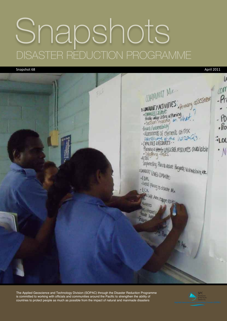# Snapshots DISASTER REDUCTION PROGRAMME

Snapshot 68 April 2011



The Applied Geoscience and Technology Division (SOPAC) through the Disaster Reduction Programme is committed to working with officials and communities around the Pacific to strengthen the ability of countries to protect people as much as possible from the impact of natural and manmade disasters

![](_page_0_Picture_4.jpeg)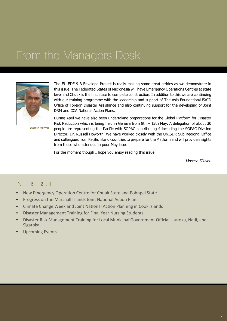#### From the Managers Desk

![](_page_1_Picture_1.jpeg)

The EU EDF 9 B Envelope Project is really making some great strides as we demonstrate in this issue. The Federated States of Micronesia will have Emergency Operations Centres at state level and Chuuk is the first state to complete construction. In addition to this we are continuing with our training programme with the leadership and support of The Asia Foundation/USAID Office of Foreign Disaster Assistance and also continuing support for the developing of Joint DRM and CCA National Action Plans.

Mosese Sikivou

During April we have also been undertaking preparations for the Global Platform for Disaster Risk Reduction which is being held in Geneva from 8th – 13th May. A delegation of about 30 people are representing the Pacific with SOPAC contributing 4 including the SOPAC Division Director, Dr. Russell Howorth. We have worked closely with the UNISDR Sub Regional Office and colleagues from Pacific island countries to prepare for the Platform and will provide insights from those who attended in pour May issue

For the moment though I hope you enjoy reading this issue.

Mosese Sikivou

#### IN THIS ISSUE

- New Emergency Operation Centre for Chuuk State and Pohnpei State
- Progress on the Marshall Islands Joint National Action Plan
- Climate Change Week and Joint National Action Planning in Cook Islands
- Disaster Management Training for Final Year Nursing Students
- Disaster Risk Management Training for Local Municipal Government Official Lautoka, Nadi, and Sigatoka
- Upcoming Events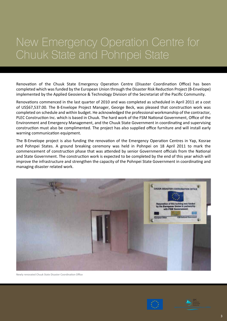### New Emergency Operation Centre for Chuuk State and Pohnpei State

Renovation of the Chuuk State Emergency Operation Centre (Disaster Coordination Office) has been completed which was funded by the European Union through the Disaster Risk Reduction Project (B-Envelope) implemented by the Applied Geosience & Technology Division of the Secretariat of the Pacific Community.

Renovations commenced in the last quarter of 2010 and was completed as scheduled in April 2011 at a cost of US\$67,537.00. The B-Envelope Project Manager, George Beck, was pleased that construction work was completed on schedule and within budget. He acknowledged the professional workmanship of the contractor, PLEC Construction Inc. which is based in Chuuk. The hard work of the FSM National Government, Office of the Environment and Emergency Management, and the Chuuk State Government in coordinating and supervising construction must also be complimented. The project has also supplied office furniture and will install early warning communication equipment.

The B-Envelope project is also funding the renovation of the Emergency Operation Centres in Yap, Kosrae and Pohnpei States. A ground breaking ceremony was held in Pohnpei on 18 April 2011 to mark the commencement of construction phase that was attended by senior Government officials from the National and State Government. The construction work is expected to be completed by the end of this year which will improve the infrastructure and strengthen the capacity of the Pohnpei State Government in coordinating and managing disaster related work.

![](_page_2_Picture_4.jpeg)

Newly renovated Chuuk State Disaster Coordination Office

![](_page_2_Picture_6.jpeg)

![](_page_2_Picture_7.jpeg)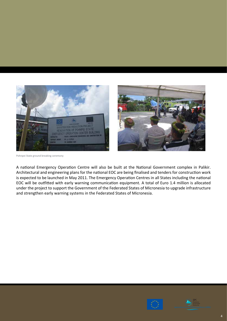![](_page_3_Picture_0.jpeg)

![](_page_3_Picture_1.jpeg)

Pohnpei State ground breaking ceremony

A national Emergency Operation Centre will also be built at the National Government complex in Palikir. Architectural and engineering plans for the national EOC are being finalised and tenders for construction work is expected to be launched in May 2011. The Emergency Operation Centres in all States including the national EOC will be outfitted with early warning communication equipment. A total of Euro 1.4 million is allocated under the project to support the Government of the Federated States of Micronesia to upgrade infrastructure and strengthen early warning systems in the Federated States of Micronesia.

![](_page_3_Picture_4.jpeg)

![](_page_3_Picture_5.jpeg)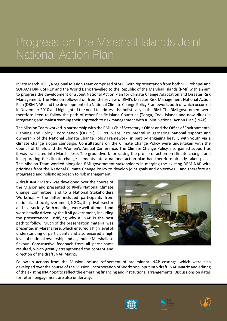### Progress on the Marshall Islands Joint National Action Plan

In late March 2011, a regional Mission Team comprised of SPC (with representation from both SPC Pohnpei and SOPAC's DRP), SPREP and the World Bank travelled to the Republic of the Marshall Islands (RMI) with an aim to progress the development of a Joint National Action Plan for Climate Change Adaptation and Disaster Risk Management. The Mission followed on from the review of RMI's Disaster Risk Management National Action Plan (DRM NAP) and the development of a National Climate Change Policy Framework, both of which occurred in November 2010 and highlighted the need to address risk holistically in the RMI. The RMI government were therefore keen to follow the path of other Pacific Island Countries (Tonga, Cook Islands and now Niue) in integrating and mainstreaming their approach to risk management with a Joint National Action Plan (JNAP).

The Mission Team worked in partnership with the RMI's Chief Secretary's Office and the Office of Environmental Planning and Policy Coordination (OEPPC). OEPPC were instrumental in garnering national support and ownership of the National Climate Change Policy Framework, in part by engaging heavily with youth via a climate change slogan campaign. Consultations on the Climate Change Policy were undertaken with the Council of Chiefs and the Women's Annual Conference. The Climate Change Policy also gained support as it was translated into Marshallese. The groundwork for raising the profile of action on climate change, and incorporating the climate change elements into a national action plan had therefore already taken place. The Mission Team worked alongside RMI government stakeholders in merging the existing DRM NAP with priorities from the National Climate Change Policy to develop joint goals and objectives – and therefore an integrated and holistic approach to risk management.

A draft JNAP Matrix was developed over the course of the Mission and presented to RMI's National Climate Change Committee, and to a National Stakeholders Workshop – the latter included participants from national and local government, NGOs, the private sector and civil society. Both meetings were well attended and were heavily driven by the RMI government, including the presentations justifying why a JNAP is the best path to follow. Much of the presentation material was presented in Marshallese, which ensured a high level of understanding of participants and also ensured a high level of national ownership and a genuine Marshallese flavour. Constructive feedback from all participants resulted, which greatly strengthened the content and direction of the draft JNAP Matrix.

![](_page_4_Picture_4.jpeg)

Follow-up actions from the Mission include refinement of preliminary JNAP costings, which were also developed over the course of the Mission, incorporation of Workshop input into draft JNAP Matrix and editing of the existing JNAP text to reflect the emerging financing and institutional arrangements. Discussions on dates for return engagement are also underway.

![](_page_4_Picture_6.jpeg)

![](_page_4_Picture_7.jpeg)

![](_page_4_Picture_8.jpeg)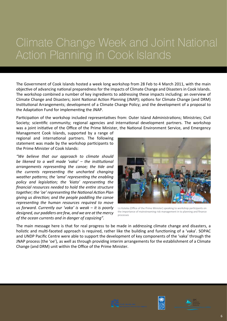### Climate Change Week and Joint National Action Planning in Cook Islands

The Government of Cook Islands hosted a week long workshop from 28 Feb to 4 March 2011, with the main objective of advancing national preparedness for the impacts of Climate Change and Disasters in Cook Islands. The workshop combined a number of key ingredients to addressing these impacts including: an overview of Climate Change and Disasters; Joint National Action Planning (JNAP); options for Climate Change (and DRM) Institutional Arrangements; development of a Climate Change Policy; and the development of a proposal to the Adaptation Fund for implementing the JNAP.

Participation of the workshop included representatives from: Outer Island Administrations; Ministries; Civil Society; scientific community; regional agencies and international development partners. The workshop was a joint initiative of the Office of the Prime Minister, the National Environment Service, and Emergency

Management Cook Islands, supported by a range of regional and international partners. The following statement was made by the workshop participants to the Prime Minister of Cook Islands:

*"We believe that our approach to climate should be likened to a well made 'vaka' – the institutional arrangements representing the canoe; the tide and the currents representing the uncharted changing weather patterns; the 'ama' representing the enabling policy and legislation; the 'kiato' representing the financial resources needed to hold the entire structure together; the 'oe' representing the National Action Plan giving us direction; and the people paddling the canoe representing the human resources required to move us forward. Currently our 'vaka' is weak – it is poorly designed, our paddlers are few, and we are at the mercy of the ocean currents and in danger of capsizing".*

![](_page_5_Picture_5.jpeg)

Liz Koteka (Office of the Prime Minister) speaking to workshop participants on the importance of mainstreaming risk management in to planning and finance processes

The main message here is that for real progress to be made in addressing climate change and disasters, a holistic and multi-faceted approach is required, rather like the building and functioning of a 'vaka'. SOPAC and UNDP Pacific Centre were able to support the development of key components of the 'vaka' through the JNAP process (the 'oe'), as well as through providing interim arrangements for the establishment of a Climate Change (and DRM) unit within the Office of the Prime Minister.

![](_page_5_Picture_8.jpeg)

![](_page_5_Picture_9.jpeg)

![](_page_5_Picture_10.jpeg)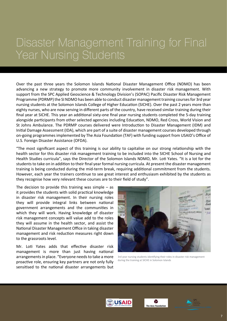#### Disaster Management Training for Final Year Nursing Students

Over the past three years the Solomon Islands National Disaster Management Office (NDMO) has been advancing a new strategy to promote more community involvement in disaster risk management. With support from the SPC Applied Geoscience & Technology Division's (SOPAC) Pacific Disaster Risk Management Programme (PDRMP) the SI NDMO has been able to conduct disaster management training courses for 3rd year nursing students at the Solomon Islands College of Higher Education (SICHE). Over the past 2 years more than eighty nurses, who are now serving in different parts of the country, have received similar training during their final year at SICHE. This year an additional sixty-one final year nursing students completed the 5-day training alongside participants from other selected agencies including Education, NDMO, Red Cross, World Vision and St Johns Ambulance. The PDRMP courses delivered were Introduction to Disaster Management (IDM) and Initial Damage Assessment (IDA), which are part of a suite of disaster management courses developed through on-going programmes implemented by The Asia Foundation (TAF) with funding support from USAID's Office of U.S. Foreign Disaster Assistance (OFDA).

"The most significant aspect of this training is our ability to capitalise on our strong relationship with the health sector for this disaster risk management training to be included into the SICHE School of Nursing and Health Studies curricula", says the Director of the Solomon Islands NDMO, Mr. Loti Yates. "It is a lot for the students to take on in addition to their final year formal nursing curricula. At present the disaster management training is being conducted during the mid-term break, requiring additional commitment from the students. However, each year the trainers continue to see great interest and enthusiasm exhibited by the students as they recognise how very relevant these courses are to their field of study".

The decision to provide this training was simple  $-$  as it provides the students with solid practical knowledge in disaster risk management. In their nursing roles they will provide integral links between national government arrangements and the communities in which they will work. Having knowledge of disaster risk management concepts will value add to the roles they will assume in the health sector, and assist the National Disaster Management Office in taking disaster management and risk reduction measures right down to the grassroots level.

Mr. Loti Yates adds that effective disaster risk management is more than just having national arrangements in place. "Everyone needs to take a more proactive role, ensuring key partners are not only fully sensitised to the national disaster arrangements but

![](_page_6_Picture_5.jpeg)

3rd year nursing students identifying their roles in disaster risk management during the training at SICHE in Solomon Islands

![](_page_6_Picture_7.jpeg)

![](_page_6_Picture_8.jpeg)

![](_page_6_Picture_9.jpeg)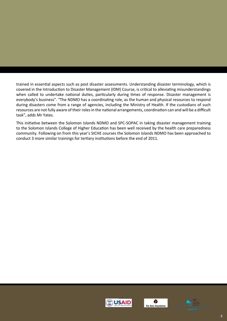trained in essential aspects such as post disaster assessments. Understanding disaster terminology, which is covered in the Introduction to Disaster Management (IDM) Course, is critical to alleviating misunderstandings when called to undertake national duties, particularly during times of response. Disaster management is everybody's business". "The NDMO has a coordinating role, as the human and physical resources to respond during disasters come from a range of agencies, including the Ministry of Health. If the custodians of such resources are not fully aware of their roles in the national arrangements, coordination can and will be a difficult task", adds Mr Yates.

This initiative between the Solomon Islands NDMO and SPC-SOPAC in taking disaster management training to the Solomon Islands College of Higher Education has been well received by the health care preparedness community. Following on from this year's SICHE courses the Solomon Islands NDMO has been approached to conduct 3 more similar trainings for tertiary institutions before the end of 2011.

![](_page_7_Picture_2.jpeg)

![](_page_7_Picture_3.jpeg)

![](_page_7_Picture_4.jpeg)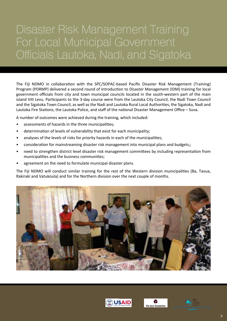### Disaster Risk Management Training For Local Municipal Government Officials Lautoka, Nadi, and Sigatoka

The Fiji NDMO in collaboration with the SPC/SOPAC-based Pacific Disaster Risk Management (Training) Program (PDRMP) delivered a second round of Introduction to Disaster Management (IDM) training for local government officials from city and town municipal councils located in the south-western part of the main island Viti Levu. Participants to the 3-day course were from the Lautoka City Council, the Nadi Town Council and the Sigatoka Town Council, as well as the Nadi and Lautoka Rural Local Authorities; the Sigatoka, Nadi and Lautoka Fire Stations; the Lautoka Police, and staff of the national Disaster Management Office – Suva.

A number of outcomes were achieved during the training, which included:

- assessments of hazards in the three municipalities;
- determination of levels of vulnerability that exist for each municipality;
- analyses of the levels of risks for priority hazards in each of the municipalities;
- consideration for mainstreaming disaster risk management into municipal plans and budgets;;
- need to strengthen district level disaster risk management committees by including representation from municipalities and the business communities;
- agreement on the need to formulate municipal disaster plans.

The Fiji NDMO will conduct similar training for the rest of the Western division municipalities (Ba, Tavua, Rakiraki and Vatukoula) and for the Northern division over the next couple of months.

![](_page_8_Picture_10.jpeg)

![](_page_8_Picture_11.jpeg)

![](_page_8_Picture_12.jpeg)

![](_page_8_Picture_13.jpeg)